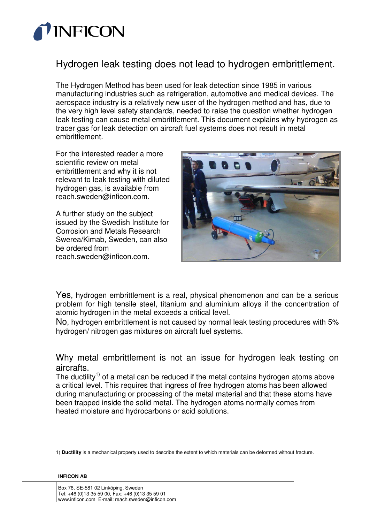

## Hydrogen leak testing does not lead to hydrogen embrittlement.

The Hydrogen Method has been used for leak detection since 1985 in various manufacturing industries such as refrigeration, automotive and medical devices. The aerospace industry is a relatively new user of the hydrogen method and has, due to the very high level safety standards, needed to raise the question whether hydrogen leak testing can cause metal embrittlement. This document explains why hydrogen as tracer gas for leak detection on aircraft fuel systems does not result in metal embrittlement.

For the interested reader a more scientific review on metal embrittlement and why it is not relevant to leak testing with diluted hydrogen gas, is available from reach.sweden@inficon.com.

A further study on the subject issued by the Swedish Institute for Corrosion and Metals Research Swerea/Kimab, Sweden, can also be ordered from reach.sweden@inficon.com.



Yes, hydrogen embrittlement is a real, physical phenomenon and can be a serious problem for high tensile steel, titanium and aluminium alloys if the concentration of atomic hydrogen in the metal exceeds a critical level.

No, hydrogen embrittlement is not caused by normal leak testing procedures with 5% hydrogen/ nitrogen gas mixtures on aircraft fuel systems.

Why metal embrittlement is not an issue for hydrogen leak testing on aircrafts.

The ductility<sup>1)</sup> of a metal can be reduced if the metal contains hydrogen atoms above a critical level. This requires that ingress of free hydrogen atoms has been allowed during manufacturing or processing of the metal material and that these atoms have been trapped inside the solid metal. The hydrogen atoms normally comes from heated moisture and hydrocarbons or acid solutions.

1) **Ductility** is a mechanical property used to describe the extent to which materials can be deformed without fracture.

## **INFICON AB**